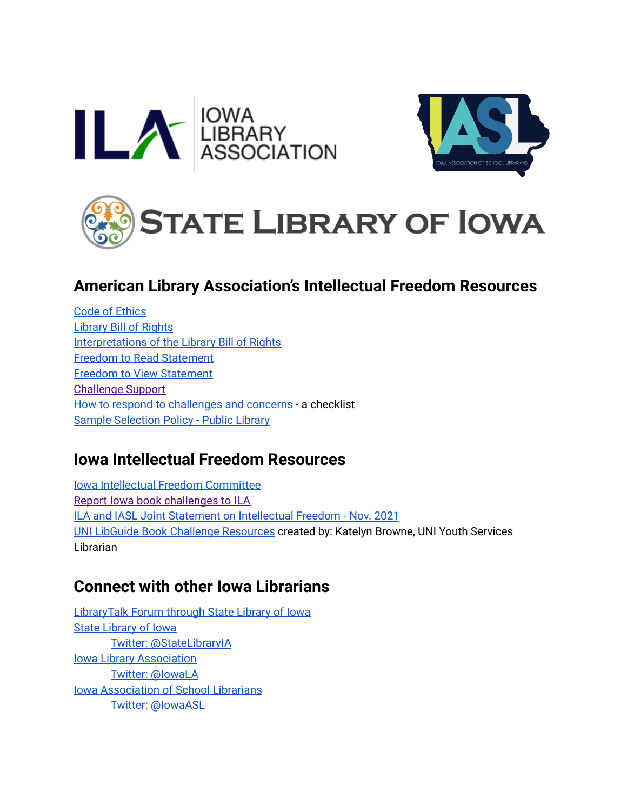





# **American Library Association's Intellectual Freedom Resources**

Code of [Ethics](https://www.ala.org/tools/ethics) [Library](https://www.ala.org/advocacy/intfreedom/librarybill) Bill of Rights [Interpretations](https://www.ala.org/advocacy/intfreedom/librarybill/interpretations) of the Library Bill of Rights Freedom to Read [Statement](https://www.ala.org/advocacy/intfreedom/freedomreadstatement) Freedom to View [Statement](https://www.ala.org/advocacy/intfreedom/freedomviewstatement) [Challenge](https://www.ala.org/tools/challengesupport) Support How to respond to [challenges](https://www.ala.org/tools/challengesupport/respond) and concerns - a checklist Sample [Selection](https://www.ala.org/tools/challengesupport/selectionpolicytoolkit/criteria) Policy - Public Library

## **Iowa Intellectual Freedom Resources**

Iowa Intellectual Freedom [Committee](https://ialibraryassociation.libguides.com/intellectualfreedom) Report Iowa book [challenges](https://docs.google.com/forms/d/e/1FAIpQLSfSoxG-mvuSluwRS1Y3wl5uOlznXW1ATJo7Q2yj1lJeCQ9roQ/viewform) to ILA ILA and IASL Joint Statement on [Intellectual](https://www.iowalibraryassociation.org/images/intellectual_freedom/IFC_Statement-_Book_Challenges_2021.pdf) Freedom - Nov. 2021 UNI LibGuide Book Challenge [Resources](https://guides.lib.uni.edu/bookchallenges/resources) created by: Katelyn Browne, UNI Youth Services Librarian

## **Connect with other Iowa Librarians**

[LibraryTalk](https://lt.silo.lib.ia.us/login) Forum through State Library of Iowa State [Library](https://www.statelibraryofiowa.gov/) of Iowa Twitter: [@StateLibraryIA](https://twitter.com/statelibraryia) Iowa Library [Association](https://www.iowalibraryassociation.org/) Twitter: [@IowaLA](http://twitter.com/IowaLA) Iowa [Association](https://www.iasl-ia.org/) of School Librarians Twitter: [@IowaASL](https://twitter.com/IowaASL)